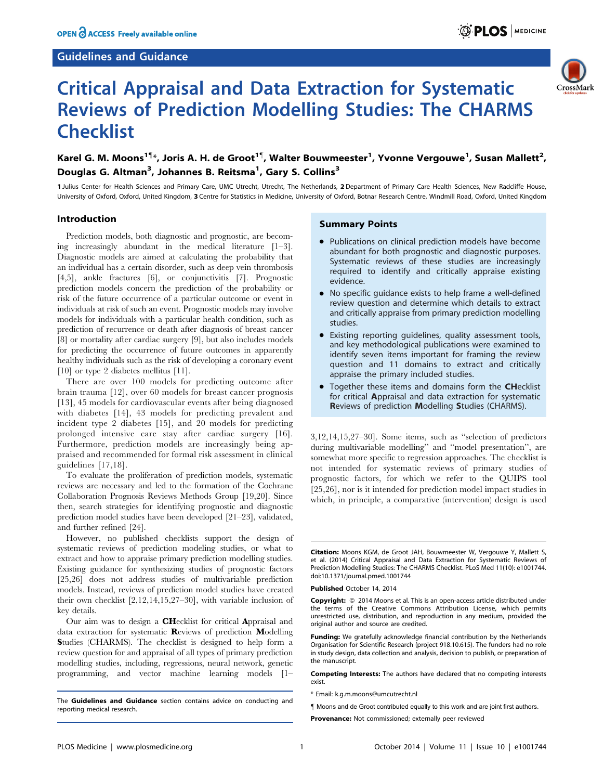## Guidelines and Guidance



# Critical Appraisal and Data Extraction for Systematic Reviews of Prediction Modelling Studies: The CHARMS **Checklist**

# Karel G. M. Moons<sup>1¶</sup>\*, Joris A. H. de Groot<sup>1¶</sup>, Walter Bouwmeester<sup>1</sup>, Yvonne Vergouwe<sup>1</sup>, Susan Mallett<sup>2</sup>, Douglas G. Altman<sup>3</sup>, Johannes B. Reitsma<sup>1</sup>, Gary S. Collins<sup>3</sup>

1 Julius Center for Health Sciences and Primary Care, UMC Utrecht, Utrecht, The Netherlands, 2 Department of Primary Care Health Sciences, New Radcliffe House, University of Oxford, Oxford, United Kingdom, 3 Centre for Statistics in Medicine, University of Oxford, Botnar Research Centre, Windmill Road, Oxford, United Kingdom

## Introduction

Prediction models, both diagnostic and prognostic, are becoming increasingly abundant in the medical literature [1–3]. Diagnostic models are aimed at calculating the probability that an individual has a certain disorder, such as deep vein thrombosis [4,5], ankle fractures [6], or conjunctivitis [7]. Prognostic prediction models concern the prediction of the probability or risk of the future occurrence of a particular outcome or event in individuals at risk of such an event. Prognostic models may involve models for individuals with a particular health condition, such as prediction of recurrence or death after diagnosis of breast cancer [8] or mortality after cardiac surgery [9], but also includes models for predicting the occurrence of future outcomes in apparently healthy individuals such as the risk of developing a coronary event [10] or type 2 diabetes mellitus [11].

There are over 100 models for predicting outcome after brain trauma [12], over 60 models for breast cancer prognosis [13], 45 models for cardiovascular events after being diagnosed with diabetes [14], 43 models for predicting prevalent and incident type 2 diabetes [15], and 20 models for predicting prolonged intensive care stay after cardiac surgery [16]. Furthermore, prediction models are increasingly being appraised and recommended for formal risk assessment in clinical guidelines [17,18].

To evaluate the proliferation of prediction models, systematic reviews are necessary and led to the formation of the Cochrane Collaboration Prognosis Reviews Methods Group [19,20]. Since then, search strategies for identifying prognostic and diagnostic prediction model studies have been developed [21–23], validated, and further refined [24].

However, no published checklists support the design of systematic reviews of prediction modeling studies, or what to extract and how to appraise primary prediction modelling studies. Existing guidance for synthesizing studies of prognostic factors [25,26] does not address studies of multivariable prediction models. Instead, reviews of prediction model studies have created their own checklist [2,12,14,15,27–30], with variable inclusion of key details.

Our aim was to design a CHecklist for critical Appraisal and data extraction for systematic Reviews of prediction Modelling Studies (CHARMS). The checklist is designed to help form a review question for and appraisal of all types of primary prediction modelling studies, including, regressions, neural network, genetic programming, and vector machine learning models [1–

## Summary Points

- Publications on clinical prediction models have become abundant for both prognostic and diagnostic purposes. Systematic reviews of these studies are increasingly required to identify and critically appraise existing evidence.
- No specific quidance exists to help frame a well-defined review question and determine which details to extract and critically appraise from primary prediction modelling studies.
- Existing reporting quidelines, quality assessment tools, and key methodological publications were examined to identify seven items important for framing the review question and 11 domains to extract and critically appraise the primary included studies.
- Together these items and domains form the CHecklist for critical Appraisal and data extraction for systematic Reviews of prediction Modelling Studies (CHARMS).

3,12,14,15,27–30]. Some items, such as ''selection of predictors during multivariable modelling'' and ''model presentation'', are somewhat more specific to regression approaches. The checklist is not intended for systematic reviews of primary studies of prognostic factors, for which we refer to the QUIPS tool [25,26], nor is it intended for prediction model impact studies in which, in principle, a comparative (intervention) design is used

Citation: Moons KGM, de Groot JAH, Bouwmeester W, Vergouwe Y, Mallett S, et al. (2014) Critical Appraisal and Data Extraction for Systematic Reviews of Prediction Modelling Studies: The CHARMS Checklist. PLoS Med 11(10): e1001744. doi:10.1371/journal.pmed.1001744

Published October 14, 2014

Copyright: © 2014 Moons et al. This is an open-access article distributed under the terms of the [Creative Commons Attribution License](http://creativecommons.org/licenses/by/4.0/), which permits unrestricted use, distribution, and reproduction in any medium, provided the original author and source are credited.

Funding: We gratefully acknowledge financial contribution by the Netherlands Organisation for Scientific Research (project 918.10.615). The funders had no role in study design, data collection and analysis, decision to publish, or preparation of the manuscript.

Competing Interests: The authors have declared that no competing interests exist.

- \* Email: k.g.m.moons@umcutrecht.nl
- " Moons and de Groot contributed equally to this work and are joint first authors.

Provenance: Not commissioned; externally peer reviewed

The Guidelines and Guidance section contains advice on conducting and reporting medical research.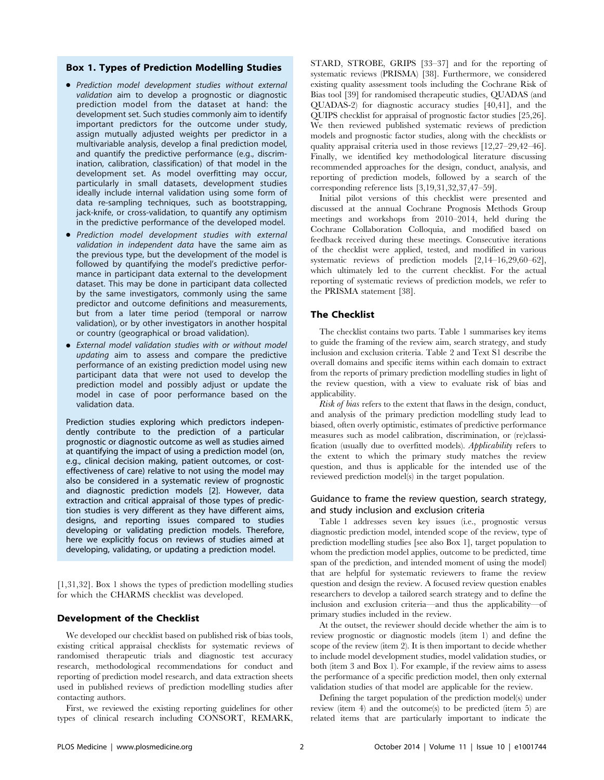## Box 1. Types of Prediction Modelling Studies

- Prediction model development studies without external validation aim to develop a prognostic or diagnostic prediction model from the dataset at hand: the development set. Such studies commonly aim to identify important predictors for the outcome under study, assign mutually adjusted weights per predictor in a multivariable analysis, develop a final prediction model, and quantify the predictive performance (e.g., discrimination, calibration, classification) of that model in the development set. As model overfitting may occur, particularly in small datasets, development studies ideally include internal validation using some form of data re-sampling techniques, such as bootstrapping, jack-knife, or cross-validation, to quantify any optimism in the predictive performance of the developed model.
- Prediction model development studies with external validation in independent data have the same aim as the previous type, but the development of the model is followed by quantifying the model's predictive performance in participant data external to the development dataset. This may be done in participant data collected by the same investigators, commonly using the same predictor and outcome definitions and measurements, but from a later time period (temporal or narrow validation), or by other investigators in another hospital or country (geographical or broad validation).
- External model validation studies with or without model updating aim to assess and compare the predictive performance of an existing prediction model using new participant data that were not used to develop the prediction model and possibly adjust or update the model in case of poor performance based on the validation data.

Prediction studies exploring which predictors independently contribute to the prediction of a particular prognostic or diagnostic outcome as well as studies aimed at quantifying the impact of using a prediction model (on, e.g., clinical decision making, patient outcomes, or costeffectiveness of care) relative to not using the model may also be considered in a systematic review of prognostic and diagnostic prediction models [2]. However, data extraction and critical appraisal of those types of prediction studies is very different as they have different aims, designs, and reporting issues compared to studies developing or validating prediction models. Therefore, here we explicitly focus on reviews of studies aimed at developing, validating, or updating a prediction model.

[1,31,32]. Box 1 shows the types of prediction modelling studies for which the CHARMS checklist was developed.

## Development of the Checklist

We developed our checklist based on published risk of bias tools, existing critical appraisal checklists for systematic reviews of randomised therapeutic trials and diagnostic test accuracy research, methodological recommendations for conduct and reporting of prediction model research, and data extraction sheets used in published reviews of prediction modelling studies after contacting authors.

First, we reviewed the existing reporting guidelines for other types of clinical research including CONSORT, REMARK, STARD, STROBE, GRIPS [33–37] and for the reporting of systematic reviews (PRISMA) [38]. Furthermore, we considered existing quality assessment tools including the Cochrane Risk of Bias tool [39] for randomised therapeutic studies, QUADAS (and QUADAS-2) for diagnostic accuracy studies [40,41], and the QUIPS checklist for appraisal of prognostic factor studies [25,26]. We then reviewed published systematic reviews of prediction models and prognostic factor studies, along with the checklists or quality appraisal criteria used in those reviews [12,27–29,42–46]. Finally, we identified key methodological literature discussing recommended approaches for the design, conduct, analysis, and reporting of prediction models, followed by a search of the corresponding reference lists [3,19,31,32,37,47–59].

Initial pilot versions of this checklist were presented and discussed at the annual Cochrane Prognosis Methods Group meetings and workshops from 2010–2014, held during the Cochrane Collaboration Colloquia, and modified based on feedback received during these meetings. Consecutive iterations of the checklist were applied, tested, and modified in various systematic reviews of prediction models [2,14–16,29,60–62], which ultimately led to the current checklist. For the actual reporting of systematic reviews of prediction models, we refer to the PRISMA statement [38].

## The Checklist

The checklist contains two parts. Table 1 summarises key items to guide the framing of the review aim, search strategy, and study inclusion and exclusion criteria. Table 2 and Text S1 describe the overall domains and specific items within each domain to extract from the reports of primary prediction modelling studies in light of the review question, with a view to evaluate risk of bias and applicability.

Risk of bias refers to the extent that flaws in the design, conduct, and analysis of the primary prediction modelling study lead to biased, often overly optimistic, estimates of predictive performance measures such as model calibration, discrimination, or (re)classification (usually due to overfitted models). Applicability refers to the extent to which the primary study matches the review question, and thus is applicable for the intended use of the reviewed prediction model(s) in the target population.

## Guidance to frame the review question, search strategy, and study inclusion and exclusion criteria

Table 1 addresses seven key issues (i.e., prognostic versus diagnostic prediction model, intended scope of the review, type of prediction modelling studies [see also Box 1], target population to whom the prediction model applies, outcome to be predicted, time span of the prediction, and intended moment of using the model) that are helpful for systematic reviewers to frame the review question and design the review. A focused review question enables researchers to develop a tailored search strategy and to define the inclusion and exclusion criteria—and thus the applicability—of primary studies included in the review.

At the outset, the reviewer should decide whether the aim is to review prognostic or diagnostic models (item 1) and define the scope of the review (item 2). It is then important to decide whether to include model development studies, model validation studies, or both (item 3 and Box 1). For example, if the review aims to assess the performance of a specific prediction model, then only external validation studies of that model are applicable for the review.

Defining the target population of the prediction model(s) under review (item 4) and the outcome(s) to be predicted (item 5) are related items that are particularly important to indicate the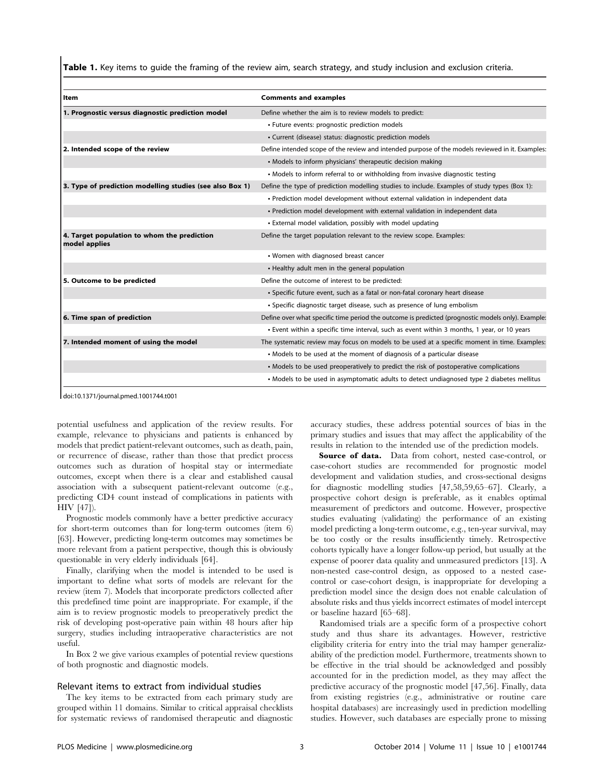Table 1. Key items to guide the framing of the review aim, search strategy, and study inclusion and exclusion criteria.

| Item                                                         | <b>Comments and examples</b>                                                                      |  |  |
|--------------------------------------------------------------|---------------------------------------------------------------------------------------------------|--|--|
| 1. Prognostic versus diagnostic prediction model             | Define whether the aim is to review models to predict:                                            |  |  |
|                                                              | • Future events: prognostic prediction models                                                     |  |  |
|                                                              | • Current (disease) status: diagnostic prediction models                                          |  |  |
| 2. Intended scope of the review                              | Define intended scope of the review and intended purpose of the models reviewed in it. Examples:  |  |  |
|                                                              | • Models to inform physicians' therapeutic decision making                                        |  |  |
|                                                              | • Models to inform referral to or withholding from invasive diagnostic testing                    |  |  |
| 3. Type of prediction modelling studies (see also Box 1)     | Define the type of prediction modelling studies to include. Examples of study types (Box 1):      |  |  |
|                                                              | · Prediction model development without external validation in independent data                    |  |  |
|                                                              | · Prediction model development with external validation in independent data                       |  |  |
|                                                              | • External model validation, possibly with model updating                                         |  |  |
| 4. Target population to whom the prediction<br>model applies | Define the target population relevant to the review scope. Examples:                              |  |  |
|                                                              | • Women with diagnosed breast cancer                                                              |  |  |
|                                                              | • Healthy adult men in the general population                                                     |  |  |
| 5. Outcome to be predicted                                   | Define the outcome of interest to be predicted:                                                   |  |  |
|                                                              | · Specific future event, such as a fatal or non-fatal coronary heart disease                      |  |  |
|                                                              | • Specific diagnostic target disease, such as presence of lung embolism                           |  |  |
| 6. Time span of prediction                                   | Define over what specific time period the outcome is predicted (prognostic models only). Example: |  |  |
|                                                              | • Event within a specific time interval, such as event within 3 months, 1 year, or 10 years       |  |  |
| 7. Intended moment of using the model                        | The systematic review may focus on models to be used at a specific moment in time. Examples:      |  |  |
|                                                              | • Models to be used at the moment of diagnosis of a particular disease                            |  |  |
|                                                              | • Models to be used preoperatively to predict the risk of postoperative complications             |  |  |
|                                                              | • Models to be used in asymptomatic adults to detect undiagnosed type 2 diabetes mellitus         |  |  |

doi:10.1371/journal.pmed.1001744.t001

potential usefulness and application of the review results. For example, relevance to physicians and patients is enhanced by models that predict patient-relevant outcomes, such as death, pain, or recurrence of disease, rather than those that predict process outcomes such as duration of hospital stay or intermediate outcomes, except when there is a clear and established causal association with a subsequent patient-relevant outcome (e.g., predicting CD4 count instead of complications in patients with HIV [47]).

Prognostic models commonly have a better predictive accuracy for short-term outcomes than for long-term outcomes (item 6) [63]. However, predicting long-term outcomes may sometimes be more relevant from a patient perspective, though this is obviously questionable in very elderly individuals [64].

Finally, clarifying when the model is intended to be used is important to define what sorts of models are relevant for the review (item 7). Models that incorporate predictors collected after this predefined time point are inappropriate. For example, if the aim is to review prognostic models to preoperatively predict the risk of developing post-operative pain within 48 hours after hip surgery, studies including intraoperative characteristics are not useful.

In Box 2 we give various examples of potential review questions of both prognostic and diagnostic models.

#### Relevant items to extract from individual studies

The key items to be extracted from each primary study are grouped within 11 domains. Similar to critical appraisal checklists for systematic reviews of randomised therapeutic and diagnostic accuracy studies, these address potential sources of bias in the primary studies and issues that may affect the applicability of the results in relation to the intended use of the prediction models.

Source of data. Data from cohort, nested case-control, or case-cohort studies are recommended for prognostic model development and validation studies, and cross-sectional designs for diagnostic modelling studies [47,58,59,65–67]. Clearly, a prospective cohort design is preferable, as it enables optimal measurement of predictors and outcome. However, prospective studies evaluating (validating) the performance of an existing model predicting a long-term outcome, e.g., ten-year survival, may be too costly or the results insufficiently timely. Retrospective cohorts typically have a longer follow-up period, but usually at the expense of poorer data quality and unmeasured predictors [13]. A non-nested case-control design, as opposed to a nested casecontrol or case-cohort design, is inappropriate for developing a prediction model since the design does not enable calculation of absolute risks and thus yields incorrect estimates of model intercept or baseline hazard [65–68].

Randomised trials are a specific form of a prospective cohort study and thus share its advantages. However, restrictive eligibility criteria for entry into the trial may hamper generalizability of the prediction model. Furthermore, treatments shown to be effective in the trial should be acknowledged and possibly accounted for in the prediction model, as they may affect the predictive accuracy of the prognostic model [47,56]. Finally, data from existing registries (e.g., administrative or routine care hospital databases) are increasingly used in prediction modelling studies. However, such databases are especially prone to missing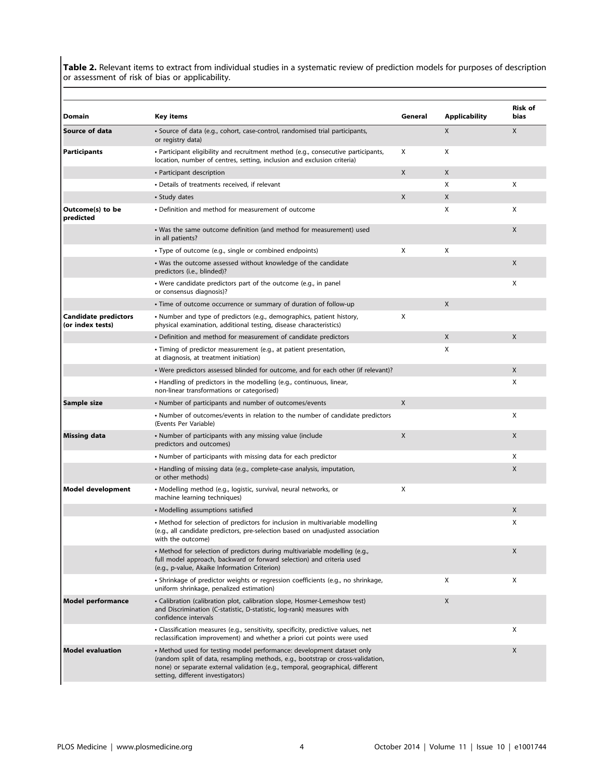Table 2. Relevant items to extract from individual studies in a systematic review of prediction models for purposes of description or assessment of risk of bias or applicability.

| Domain                                          | Key items                                                                                                                                                                                                                                                                       | General      | <b>Applicability</b> | <b>Risk of</b><br>bias |
|-------------------------------------------------|---------------------------------------------------------------------------------------------------------------------------------------------------------------------------------------------------------------------------------------------------------------------------------|--------------|----------------------|------------------------|
| Source of data                                  | • Source of data (e.g., cohort, case-control, randomised trial participants,<br>or registry data)                                                                                                                                                                               |              | X                    | $\mathsf{X}$           |
| <b>Participants</b>                             | • Participant eligibility and recruitment method (e.g., consecutive participants,<br>location, number of centres, setting, inclusion and exclusion criteria)                                                                                                                    | Χ            | X                    |                        |
|                                                 | • Participant description                                                                                                                                                                                                                                                       | $\mathsf{X}$ | X                    |                        |
|                                                 | • Details of treatments received, if relevant                                                                                                                                                                                                                                   |              | X                    | X                      |
|                                                 | • Study dates                                                                                                                                                                                                                                                                   | X            | X                    |                        |
| Outcome(s) to be<br>predicted                   | • Definition and method for measurement of outcome                                                                                                                                                                                                                              |              | X                    | X                      |
|                                                 | • Was the same outcome definition (and method for measurement) used<br>in all patients?                                                                                                                                                                                         |              |                      | X                      |
|                                                 | • Type of outcome (e.g., single or combined endpoints)                                                                                                                                                                                                                          | Χ            | X                    |                        |
|                                                 | • Was the outcome assessed without knowledge of the candidate<br>predictors (i.e., blinded)?                                                                                                                                                                                    |              |                      | X                      |
|                                                 | • Were candidate predictors part of the outcome (e.g., in panel<br>or consensus diagnosis)?                                                                                                                                                                                     |              |                      | X                      |
|                                                 | • Time of outcome occurrence or summary of duration of follow-up                                                                                                                                                                                                                |              | X                    |                        |
| <b>Candidate predictors</b><br>(or index tests) | • Number and type of predictors (e.g., demographics, patient history,<br>physical examination, additional testing, disease characteristics)                                                                                                                                     | Χ            |                      |                        |
|                                                 | • Definition and method for measurement of candidate predictors                                                                                                                                                                                                                 |              | X                    | $\mathsf{X}$           |
|                                                 | • Timing of predictor measurement (e.g., at patient presentation,<br>at diagnosis, at treatment initiation)                                                                                                                                                                     |              | X                    |                        |
|                                                 | • Were predictors assessed blinded for outcome, and for each other (if relevant)?                                                                                                                                                                                               |              |                      | X                      |
|                                                 | • Handling of predictors in the modelling (e.g., continuous, linear,<br>non-linear transformations or categorised)                                                                                                                                                              |              |                      | X                      |
| Sample size                                     | • Number of participants and number of outcomes/events                                                                                                                                                                                                                          | X            |                      |                        |
|                                                 | • Number of outcomes/events in relation to the number of candidate predictors<br>(Events Per Variable)                                                                                                                                                                          |              |                      | X                      |
| <b>Missing data</b>                             | • Number of participants with any missing value (include<br>predictors and outcomes)                                                                                                                                                                                            | X            |                      | X                      |
|                                                 | • Number of participants with missing data for each predictor                                                                                                                                                                                                                   |              |                      | Χ                      |
|                                                 | • Handling of missing data (e.g., complete-case analysis, imputation,<br>or other methods)                                                                                                                                                                                      |              |                      | X                      |
| <b>Model development</b>                        | • Modelling method (e.g., logistic, survival, neural networks, or<br>machine learning techniques)                                                                                                                                                                               | Χ            |                      |                        |
|                                                 | • Modelling assumptions satisfied                                                                                                                                                                                                                                               |              |                      | X                      |
|                                                 | • Method for selection of predictors for inclusion in multivariable modelling<br>(e.g., all candidate predictors, pre-selection based on unadjusted association<br>with the outcome)                                                                                            |              |                      | X                      |
|                                                 | • Method for selection of predictors during multivariable modelling (e.g.,<br>full model approach, backward or forward selection) and criteria used<br>(e.g., p-value, Akaike Information Criterion)                                                                            |              |                      | X                      |
|                                                 | · Shrinkage of predictor weights or regression coefficients (e.g., no shrinkage,<br>uniform shrinkage, penalized estimation)                                                                                                                                                    |              | X                    | X                      |
| <b>Model performance</b>                        | • Calibration (calibration plot, calibration slope, Hosmer-Lemeshow test)<br>and Discrimination (C-statistic, D-statistic, log-rank) measures with<br>confidence intervals                                                                                                      |              | X                    |                        |
|                                                 | • Classification measures (e.g., sensitivity, specificity, predictive values, net<br>reclassification improvement) and whether a priori cut points were used                                                                                                                    |              |                      | Χ                      |
| <b>Model evaluation</b>                         | • Method used for testing model performance: development dataset only<br>(random split of data, resampling methods, e.g., bootstrap or cross-validation,<br>none) or separate external validation (e.g., temporal, geographical, different<br>setting, different investigators) |              |                      | X                      |
|                                                 |                                                                                                                                                                                                                                                                                 |              |                      |                        |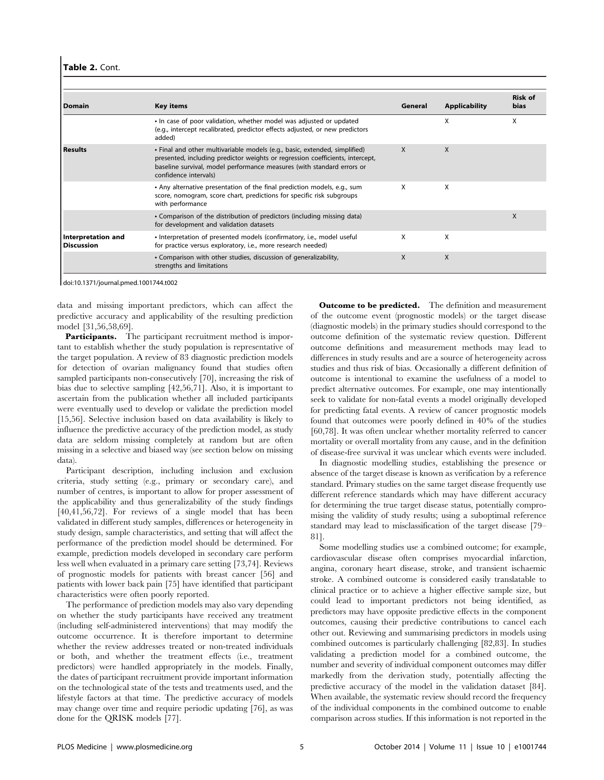#### Table 2. Cont.

| <b>Domain</b>                           | <b>Key items</b>                                                                                                                                                                                                                                               | General      | <b>Applicability</b> | <b>Risk of</b><br><b>bias</b> |
|-----------------------------------------|----------------------------------------------------------------------------------------------------------------------------------------------------------------------------------------------------------------------------------------------------------------|--------------|----------------------|-------------------------------|
|                                         | • In case of poor validation, whether model was adjusted or updated<br>(e.g., intercept recalibrated, predictor effects adjusted, or new predictors<br>added)                                                                                                  |              | X                    | X                             |
| <b>Results</b>                          | • Final and other multivariable models (e.g., basic, extended, simplified)<br>presented, including predictor weights or regression coefficients, intercept,<br>baseline survival, model performance measures (with standard errors or<br>confidence intervals) | $\mathsf{x}$ | $\mathsf{x}$         |                               |
|                                         | • Any alternative presentation of the final prediction models, e.g., sum<br>score, nomogram, score chart, predictions for specific risk subgroups<br>with performance                                                                                          | X            | X                    |                               |
|                                         | • Comparison of the distribution of predictors (including missing data)<br>for development and validation datasets                                                                                                                                             |              |                      | X                             |
| Interpretation and<br><b>Discussion</b> | • Interpretation of presented models (confirmatory, i.e., model useful<br>for practice versus exploratory, i.e., more research needed)                                                                                                                         | X            | X                    |                               |
|                                         | • Comparison with other studies, discussion of generalizability,<br>strengths and limitations                                                                                                                                                                  | X            | X                    |                               |

doi:10.1371/journal.pmed.1001744.t002

data and missing important predictors, which can affect the predictive accuracy and applicability of the resulting prediction model [31,56,58,69].

Participants. The participant recruitment method is important to establish whether the study population is representative of the target population. A review of 83 diagnostic prediction models for detection of ovarian malignancy found that studies often sampled participants non-consecutively [70], increasing the risk of bias due to selective sampling [42,56,71]. Also, it is important to ascertain from the publication whether all included participants were eventually used to develop or validate the prediction model [15,56]. Selective inclusion based on data availability is likely to influence the predictive accuracy of the prediction model, as study data are seldom missing completely at random but are often missing in a selective and biased way (see section below on missing data).

Participant description, including inclusion and exclusion criteria, study setting (e.g., primary or secondary care), and number of centres, is important to allow for proper assessment of the applicability and thus generalizability of the study findings [40,41,56,72]. For reviews of a single model that has been validated in different study samples, differences or heterogeneity in study design, sample characteristics, and setting that will affect the performance of the prediction model should be determined. For example, prediction models developed in secondary care perform less well when evaluated in a primary care setting [73,74]. Reviews of prognostic models for patients with breast cancer [56] and patients with lower back pain [75] have identified that participant characteristics were often poorly reported.

The performance of prediction models may also vary depending on whether the study participants have received any treatment (including self-administered interventions) that may modify the outcome occurrence. It is therefore important to determine whether the review addresses treated or non-treated individuals or both, and whether the treatment effects (i.e., treatment predictors) were handled appropriately in the models. Finally, the dates of participant recruitment provide important information on the technological state of the tests and treatments used, and the lifestyle factors at that time. The predictive accuracy of models may change over time and require periodic updating [76], as was done for the QRISK models [77].

Outcome to be predicted. The definition and measurement of the outcome event (prognostic models) or the target disease (diagnostic models) in the primary studies should correspond to the outcome definition of the systematic review question. Different outcome definitions and measurement methods may lead to differences in study results and are a source of heterogeneity across studies and thus risk of bias. Occasionally a different definition of outcome is intentional to examine the usefulness of a model to predict alternative outcomes. For example, one may intentionally seek to validate for non-fatal events a model originally developed for predicting fatal events. A review of cancer prognostic models found that outcomes were poorly defined in 40% of the studies [60,78]. It was often unclear whether mortality referred to cancer mortality or overall mortality from any cause, and in the definition of disease-free survival it was unclear which events were included.

In diagnostic modelling studies, establishing the presence or absence of the target disease is known as verification by a reference standard. Primary studies on the same target disease frequently use different reference standards which may have different accuracy for determining the true target disease status, potentially compromising the validity of study results; using a suboptimal reference standard may lead to misclassification of the target disease [79– 81].

Some modelling studies use a combined outcome; for example, cardiovascular disease often comprises myocardial infarction, angina, coronary heart disease, stroke, and transient ischaemic stroke. A combined outcome is considered easily translatable to clinical practice or to achieve a higher effective sample size, but could lead to important predictors not being identified, as predictors may have opposite predictive effects in the component outcomes, causing their predictive contributions to cancel each other out. Reviewing and summarising predictors in models using combined outcomes is particularly challenging [82,83]. In studies validating a prediction model for a combined outcome, the number and severity of individual component outcomes may differ markedly from the derivation study, potentially affecting the predictive accuracy of the model in the validation dataset [84]. When available, the systematic review should record the frequency of the individual components in the combined outcome to enable comparison across studies. If this information is not reported in the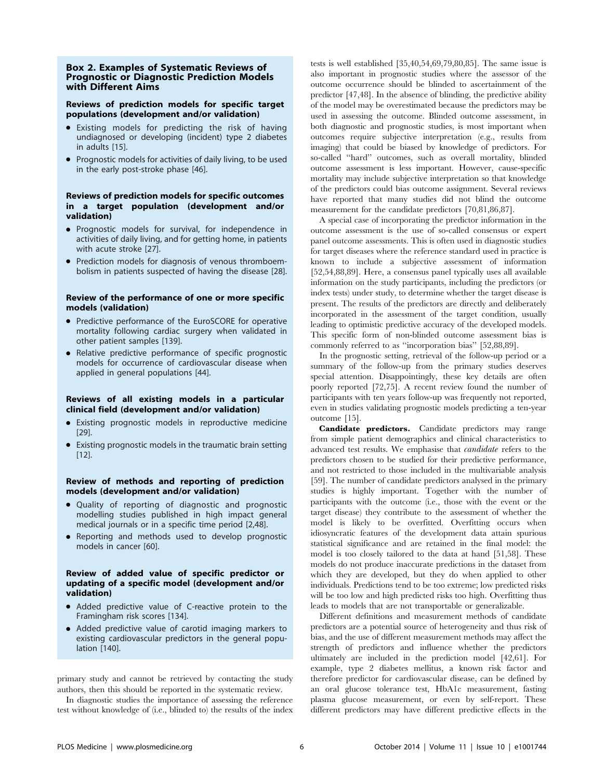## Box 2. Examples of Systematic Reviews of Prognostic or Diagnostic Prediction Models with Different Aims

## Reviews of prediction models for specific target populations (development and/or validation)

- Existing models for predicting the risk of having undiagnosed or developing (incident) type 2 diabetes in adults [15].
- Prognostic models for activities of daily living, to be used in the early post-stroke phase [46].

## Reviews of prediction models for specific outcomes in a target population (development and/or validation)

- Prognostic models for survival, for independence in activities of daily living, and for getting home, in patients with acute stroke [27].
- Prediction models for diagnosis of venous thromboembolism in patients suspected of having the disease [28].

#### Review of the performance of one or more specific models (validation)

- Predictive performance of the EuroSCORE for operative mortality following cardiac surgery when validated in other patient samples [139].
- $\bullet$  Relative predictive performance of specific prognostic models for occurrence of cardiovascular disease when applied in general populations [44].

## Reviews of all existing models in a particular clinical field (development and/or validation)

- Existing prognostic models in reproductive medicine [29].
- $\bullet$  Existing prognostic models in the traumatic brain setting [12].

## Review of methods and reporting of prediction models (development and/or validation)

- $\bullet$  Quality of reporting of diagnostic and prognostic modelling studies published in high impact general medical journals or in a specific time period [2,48].
- Reporting and methods used to develop prognostic models in cancer [60].

## Review of added value of specific predictor or updating of a specific model (development and/or validation)

- Added predictive value of C-reactive protein to the Framingham risk scores [134].
- Added predictive value of carotid imaging markers to existing cardiovascular predictors in the general population [140].

primary study and cannot be retrieved by contacting the study authors, then this should be reported in the systematic review.

In diagnostic studies the importance of assessing the reference test without knowledge of (i.e., blinded to) the results of the index tests is well established [35,40,54,69,79,80,85]. The same issue is also important in prognostic studies where the assessor of the outcome occurrence should be blinded to ascertainment of the predictor [47,48]. In the absence of blinding, the predictive ability of the model may be overestimated because the predictors may be used in assessing the outcome. Blinded outcome assessment, in both diagnostic and prognostic studies, is most important when outcomes require subjective interpretation (e.g., results from imaging) that could be biased by knowledge of predictors. For so-called ''hard'' outcomes, such as overall mortality, blinded outcome assessment is less important. However, cause-specific mortality may include subjective interpretation so that knowledge of the predictors could bias outcome assignment. Several reviews have reported that many studies did not blind the outcome measurement for the candidate predictors [70,81,86,87].

A special case of incorporating the predictor information in the outcome assessment is the use of so-called consensus or expert panel outcome assessments. This is often used in diagnostic studies for target diseases where the reference standard used in practice is known to include a subjective assessment of information [52,54,88,89]. Here, a consensus panel typically uses all available information on the study participants, including the predictors (or index tests) under study, to determine whether the target disease is present. The results of the predictors are directly and deliberately incorporated in the assessment of the target condition, usually leading to optimistic predictive accuracy of the developed models. This specific form of non-blinded outcome assessment bias is commonly referred to as ''incorporation bias'' [52,88,89].

In the prognostic setting, retrieval of the follow-up period or a summary of the follow-up from the primary studies deserves special attention. Disappointingly, these key details are often poorly reported [72,75]. A recent review found the number of participants with ten years follow-up was frequently not reported, even in studies validating prognostic models predicting a ten-year outcome [15].

Candidate predictors. Candidate predictors may range from simple patient demographics and clinical characteristics to advanced test results. We emphasise that candidate refers to the predictors chosen to be studied for their predictive performance, and not restricted to those included in the multivariable analysis [59]. The number of candidate predictors analysed in the primary studies is highly important. Together with the number of participants with the outcome (i.e., those with the event or the target disease) they contribute to the assessment of whether the model is likely to be overfitted. Overfitting occurs when idiosyncratic features of the development data attain spurious statistical significance and are retained in the final model: the model is too closely tailored to the data at hand [51,58]. These models do not produce inaccurate predictions in the dataset from which they are developed, but they do when applied to other individuals. Predictions tend to be too extreme; low predicted risks will be too low and high predicted risks too high. Overfitting thus leads to models that are not transportable or generalizable.

Different definitions and measurement methods of candidate predictors are a potential source of heterogeneity and thus risk of bias, and the use of different measurement methods may affect the strength of predictors and influence whether the predictors ultimately are included in the prediction model [42,61]. For example, type 2 diabetes mellitus, a known risk factor and therefore predictor for cardiovascular disease, can be defined by an oral glucose tolerance test, HbA1c measurement, fasting plasma glucose measurement, or even by self-report. These different predictors may have different predictive effects in the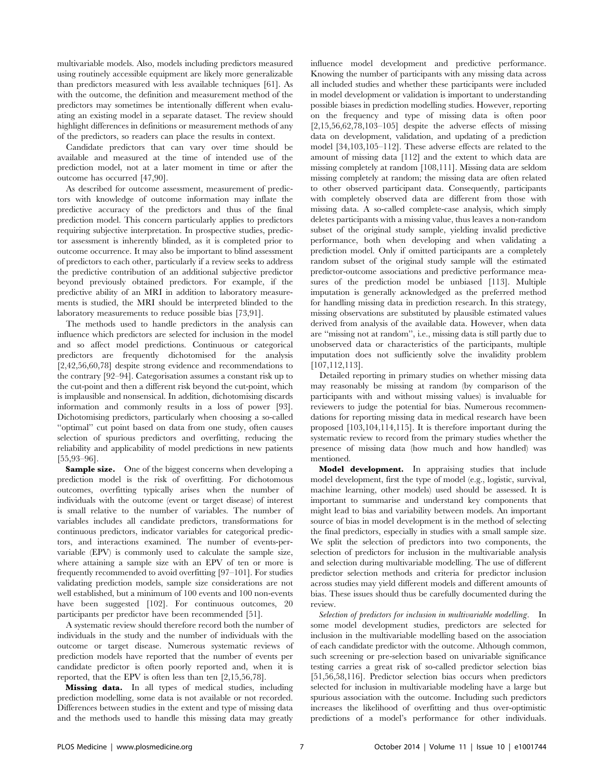multivariable models. Also, models including predictors measured using routinely accessible equipment are likely more generalizable than predictors measured with less available techniques [61]. As with the outcome, the definition and measurement method of the predictors may sometimes be intentionally different when evaluating an existing model in a separate dataset. The review should highlight differences in definitions or measurement methods of any of the predictors, so readers can place the results in context.

Candidate predictors that can vary over time should be available and measured at the time of intended use of the prediction model, not at a later moment in time or after the outcome has occurred [47,90].

As described for outcome assessment, measurement of predictors with knowledge of outcome information may inflate the predictive accuracy of the predictors and thus of the final prediction model. This concern particularly applies to predictors requiring subjective interpretation. In prospective studies, predictor assessment is inherently blinded, as it is completed prior to outcome occurrence. It may also be important to blind assessment of predictors to each other, particularly if a review seeks to address the predictive contribution of an additional subjective predictor beyond previously obtained predictors. For example, if the predictive ability of an MRI in addition to laboratory measurements is studied, the MRI should be interpreted blinded to the laboratory measurements to reduce possible bias [73,91].

The methods used to handle predictors in the analysis can influence which predictors are selected for inclusion in the model and so affect model predictions. Continuous or categorical predictors are frequently dichotomised for the analysis [2,42,56,60,78] despite strong evidence and recommendations to the contrary [92–94]. Categorisation assumes a constant risk up to the cut-point and then a different risk beyond the cut-point, which is implausible and nonsensical. In addition, dichotomising discards information and commonly results in a loss of power [93]. Dichotomising predictors, particularly when choosing a so-called ''optimal'' cut point based on data from one study, often causes selection of spurious predictors and overfitting, reducing the reliability and applicability of model predictions in new patients [55,93–96].

Sample size. One of the biggest concerns when developing a prediction model is the risk of overfitting. For dichotomous outcomes, overfitting typically arises when the number of individuals with the outcome (event or target disease) of interest is small relative to the number of variables. The number of variables includes all candidate predictors, transformations for continuous predictors, indicator variables for categorical predictors, and interactions examined. The number of events-pervariable (EPV) is commonly used to calculate the sample size, where attaining a sample size with an EPV of ten or more is frequently recommended to avoid overfitting [97–101]. For studies validating prediction models, sample size considerations are not well established, but a minimum of 100 events and 100 non-events have been suggested [102]. For continuous outcomes, 20 participants per predictor have been recommended [51].

A systematic review should therefore record both the number of individuals in the study and the number of individuals with the outcome or target disease. Numerous systematic reviews of prediction models have reported that the number of events per candidate predictor is often poorly reported and, when it is reported, that the EPV is often less than ten [2,15,56,78].

Missing data. In all types of medical studies, including prediction modelling, some data is not available or not recorded. Differences between studies in the extent and type of missing data and the methods used to handle this missing data may greatly

influence model development and predictive performance. Knowing the number of participants with any missing data across all included studies and whether these participants were included in model development or validation is important to understanding possible biases in prediction modelling studies. However, reporting on the frequency and type of missing data is often poor  $[2,15,56,62,78,103-105]$  despite the adverse effects of missing data on development, validation, and updating of a prediction model [34,103,105–112]. These adverse effects are related to the amount of missing data [112] and the extent to which data are missing completely at random [108,111]. Missing data are seldom missing completely at random; the missing data are often related to other observed participant data. Consequently, participants with completely observed data are different from those with missing data. A so-called complete-case analysis, which simply deletes participants with a missing value, thus leaves a non-random subset of the original study sample, yielding invalid predictive performance, both when developing and when validating a prediction model. Only if omitted participants are a completely random subset of the original study sample will the estimated predictor-outcome associations and predictive performance measures of the prediction model be unbiased [113]. Multiple imputation is generally acknowledged as the preferred method for handling missing data in prediction research. In this strategy, missing observations are substituted by plausible estimated values derived from analysis of the available data. However, when data are ''missing not at random'', i.e., missing data is still partly due to unobserved data or characteristics of the participants, multiple imputation does not sufficiently solve the invalidity problem [107,112,113].

Detailed reporting in primary studies on whether missing data may reasonably be missing at random (by comparison of the participants with and without missing values) is invaluable for reviewers to judge the potential for bias. Numerous recommendations for reporting missing data in medical research have been proposed [103,104,114,115]. It is therefore important during the systematic review to record from the primary studies whether the presence of missing data (how much and how handled) was mentioned.

Model development. In appraising studies that include model development, first the type of model (e.g., logistic, survival, machine learning, other models) used should be assessed. It is important to summarise and understand key components that might lead to bias and variability between models. An important source of bias in model development is in the method of selecting the final predictors, especially in studies with a small sample size. We split the selection of predictors into two components, the selection of predictors for inclusion in the multivariable analysis and selection during multivariable modelling. The use of different predictor selection methods and criteria for predictor inclusion across studies may yield different models and different amounts of bias. These issues should thus be carefully documented during the review.

Selection of predictors for inclusion in multivariable modelling. In some model development studies, predictors are selected for inclusion in the multivariable modelling based on the association of each candidate predictor with the outcome. Although common, such screening or pre-selection based on univariable significance testing carries a great risk of so-called predictor selection bias [51,56,58,116]. Predictor selection bias occurs when predictors selected for inclusion in multivariable modeling have a large but spurious association with the outcome. Including such predictors increases the likelihood of overfitting and thus over-optimistic predictions of a model's performance for other individuals.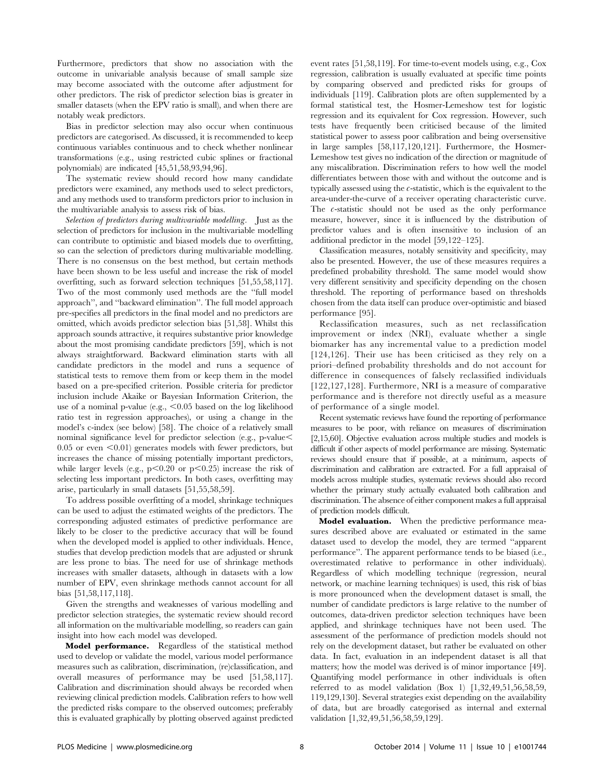Furthermore, predictors that show no association with the outcome in univariable analysis because of small sample size may become associated with the outcome after adjustment for other predictors. The risk of predictor selection bias is greater in smaller datasets (when the EPV ratio is small), and when there are notably weak predictors.

Bias in predictor selection may also occur when continuous predictors are categorised. As discussed, it is recommended to keep continuous variables continuous and to check whether nonlinear transformations (e.g., using restricted cubic splines or fractional polynomials) are indicated [45,51,58,93,94,96].

The systematic review should record how many candidate predictors were examined, any methods used to select predictors, and any methods used to transform predictors prior to inclusion in the multivariable analysis to assess risk of bias.

Selection of predictors during multivariable modelling. Just as the selection of predictors for inclusion in the multivariable modelling can contribute to optimistic and biased models due to overfitting, so can the selection of predictors during multivariable modelling. There is no consensus on the best method, but certain methods have been shown to be less useful and increase the risk of model overfitting, such as forward selection techniques [51,55,58,117]. Two of the most commonly used methods are the ''full model approach'', and ''backward elimination''. The full model approach pre-specifies all predictors in the final model and no predictors are omitted, which avoids predictor selection bias [51,58]. Whilst this approach sounds attractive, it requires substantive prior knowledge about the most promising candidate predictors [59], which is not always straightforward. Backward elimination starts with all candidate predictors in the model and runs a sequence of statistical tests to remove them from or keep them in the model based on a pre-specified criterion. Possible criteria for predictor inclusion include Akaike or Bayesian Information Criterion, the use of a nominal p-value (e.g.,  $\leq 0.05$  based on the log likelihood ratio test in regression approaches), or using a change in the model's c-index (see below) [58]. The choice of a relatively small nominal significance level for predictor selection (e.g., p-value $\lt$  $0.05$  or even  $\leq 0.01$ ) generates models with fewer predictors, but increases the chance of missing potentially important predictors, while larger levels (e.g.,  $p<0.20$  or  $p<0.25$ ) increase the risk of selecting less important predictors. In both cases, overfitting may arise, particularly in small datasets [51,55,58,59].

To address possible overfitting of a model, shrinkage techniques can be used to adjust the estimated weights of the predictors. The corresponding adjusted estimates of predictive performance are likely to be closer to the predictive accuracy that will be found when the developed model is applied to other individuals. Hence, studies that develop prediction models that are adjusted or shrunk are less prone to bias. The need for use of shrinkage methods increases with smaller datasets, although in datasets with a low number of EPV, even shrinkage methods cannot account for all bias [51,58,117,118].

Given the strengths and weaknesses of various modelling and predictor selection strategies, the systematic review should record all information on the multivariable modelling, so readers can gain insight into how each model was developed.

Model performance. Regardless of the statistical method used to develop or validate the model, various model performance measures such as calibration, discrimination, (re)classification, and overall measures of performance may be used [51,58,117]. Calibration and discrimination should always be recorded when reviewing clinical prediction models. Calibration refers to how well the predicted risks compare to the observed outcomes; preferably this is evaluated graphically by plotting observed against predicted event rates [51,58,119]. For time-to-event models using, e.g., Cox regression, calibration is usually evaluated at specific time points by comparing observed and predicted risks for groups of individuals [119]. Calibration plots are often supplemented by a formal statistical test, the Hosmer-Lemeshow test for logistic regression and its equivalent for Cox regression. However, such tests have frequently been criticised because of the limited statistical power to assess poor calibration and being oversensitive in large samples [58,117,120,121]. Furthermore, the Hosmer-Lemeshow test gives no indication of the direction or magnitude of any miscalibration. Discrimination refers to how well the model differentiates between those with and without the outcome and is typically assessed using the  $c$ -statistic, which is the equivalent to the area-under-the-curve of a receiver operating characteristic curve. The c-statistic should not be used as the only performance measure, however, since it is influenced by the distribution of predictor values and is often insensitive to inclusion of an additional predictor in the model [59,122–125].

Classification measures, notably sensitivity and specificity, may also be presented. However, the use of these measures requires a predefined probability threshold. The same model would show very different sensitivity and specificity depending on the chosen threshold. The reporting of performance based on thresholds chosen from the data itself can produce over-optimistic and biased performance [95].

Reclassification measures, such as net reclassification improvement or index (NRI), evaluate whether a single biomarker has any incremental value to a prediction model [124,126]. Their use has been criticised as they rely on a priori–defined probability thresholds and do not account for difference in consequences of falsely reclassified individuals [122,127,128]. Furthermore, NRI is a measure of comparative performance and is therefore not directly useful as a measure of performance of a single model.

Recent systematic reviews have found the reporting of performance measures to be poor, with reliance on measures of discrimination [2,15,60]. Objective evaluation across multiple studies and models is difficult if other aspects of model performance are missing. Systematic reviews should ensure that if possible, at a minimum, aspects of discrimination and calibration are extracted. For a full appraisal of models across multiple studies, systematic reviews should also record whether the primary study actually evaluated both calibration and discrimination. The absence of either component makes a full appraisal of prediction models difficult.

Model evaluation. When the predictive performance measures described above are evaluated or estimated in the same dataset used to develop the model, they are termed ''apparent performance''. The apparent performance tends to be biased (i.e., overestimated relative to performance in other individuals). Regardless of which modelling technique (regression, neural network, or machine learning techniques) is used, this risk of bias is more pronounced when the development dataset is small, the number of candidate predictors is large relative to the number of outcomes, data-driven predictor selection techniques have been applied, and shrinkage techniques have not been used. The assessment of the performance of prediction models should not rely on the development dataset, but rather be evaluated on other data. In fact, evaluation in an independent dataset is all that matters; how the model was derived is of minor importance [49]. Quantifying model performance in other individuals is often referred to as model validation (Box 1) [1,32,49,51,56,58,59, 119,129,130]. Several strategies exist depending on the availability of data, but are broadly categorised as internal and external validation [1,32,49,51,56,58,59,129].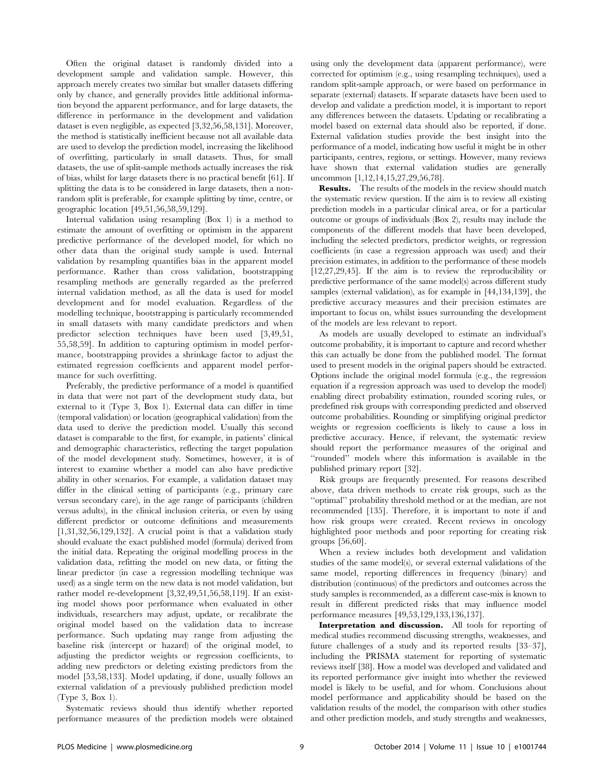Often the original dataset is randomly divided into a development sample and validation sample. However, this approach merely creates two similar but smaller datasets differing only by chance, and generally provides little additional information beyond the apparent performance, and for large datasets, the difference in performance in the development and validation dataset is even negligible, as expected [3,32,56,58,131]. Moreover, the method is statistically inefficient because not all available data are used to develop the prediction model, increasing the likelihood of overfitting, particularly in small datasets. Thus, for small datasets, the use of split-sample methods actually increases the risk of bias, whilst for large datasets there is no practical benefit [61]. If splitting the data is to be considered in large datasets, then a nonrandom split is preferable, for example splitting by time, centre, or geographic location [49,51,56,58,59,129].

Internal validation using resampling (Box 1) is a method to estimate the amount of overfitting or optimism in the apparent predictive performance of the developed model, for which no other data than the original study sample is used. Internal validation by resampling quantifies bias in the apparent model performance. Rather than cross validation, bootstrapping resampling methods are generally regarded as the preferred internal validation method, as all the data is used for model development and for model evaluation. Regardless of the modelling technique, bootstrapping is particularly recommended in small datasets with many candidate predictors and when predictor selection techniques have been used [3,49,51, 55,58,59]. In addition to capturing optimism in model performance, bootstrapping provides a shrinkage factor to adjust the estimated regression coefficients and apparent model performance for such overfitting.

Preferably, the predictive performance of a model is quantified in data that were not part of the development study data, but external to it (Type 3, Box 1). External data can differ in time (temporal validation) or location (geographical validation) from the data used to derive the prediction model. Usually this second dataset is comparable to the first, for example, in patients' clinical and demographic characteristics, reflecting the target population of the model development study. Sometimes, however, it is of interest to examine whether a model can also have predictive ability in other scenarios. For example, a validation dataset may differ in the clinical setting of participants (e.g., primary care versus secondary care), in the age range of participants (children versus adults), in the clinical inclusion criteria, or even by using different predictor or outcome definitions and measurements [1,31,32,56,129,132]. A crucial point is that a validation study should evaluate the exact published model (formula) derived from the initial data. Repeating the original modelling process in the validation data, refitting the model on new data, or fitting the linear predictor (in case a regression modelling technique was used) as a single term on the new data is not model validation, but rather model re-development [3,32,49,51,56,58,119]. If an existing model shows poor performance when evaluated in other individuals, researchers may adjust, update, or recalibrate the original model based on the validation data to increase performance. Such updating may range from adjusting the baseline risk (intercept or hazard) of the original model, to adjusting the predictor weights or regression coefficients, to adding new predictors or deleting existing predictors from the model [53,58,133]. Model updating, if done, usually follows an external validation of a previously published prediction model (Type 3, Box 1).

Systematic reviews should thus identify whether reported performance measures of the prediction models were obtained

using only the development data (apparent performance), were corrected for optimism (e.g., using resampling techniques), used a random split-sample approach, or were based on performance in separate (external) datasets. If separate datasets have been used to develop and validate a prediction model, it is important to report any differences between the datasets. Updating or recalibrating a model based on external data should also be reported, if done. External validation studies provide the best insight into the performance of a model, indicating how useful it might be in other participants, centres, regions, or settings. However, many reviews have shown that external validation studies are generally uncommon [1,12,14,15,27,29,56,78].

Results. The results of the models in the review should match the systematic review question. If the aim is to review all existing prediction models in a particular clinical area, or for a particular outcome or groups of individuals (Box 2), results may include the components of the different models that have been developed, including the selected predictors, predictor weights, or regression coefficients (in case a regression approach was used) and their precision estimates, in addition to the performance of these models [12,27,29,45]. If the aim is to review the reproducibility or predictive performance of the same model(s) across different study samples (external validation), as for example in [44,134,139], the predictive accuracy measures and their precision estimates are important to focus on, whilst issues surrounding the development of the models are less relevant to report.

As models are usually developed to estimate an individual's outcome probability, it is important to capture and record whether this can actually be done from the published model. The format used to present models in the original papers should be extracted. Options include the original model formula (e.g., the regression equation if a regression approach was used to develop the model) enabling direct probability estimation, rounded scoring rules, or predefined risk groups with corresponding predicted and observed outcome probabilities. Rounding or simplifying original predictor weights or regression coefficients is likely to cause a loss in predictive accuracy. Hence, if relevant, the systematic review should report the performance measures of the original and ''rounded'' models where this information is available in the published primary report [32].

Risk groups are frequently presented. For reasons described above, data driven methods to create risk groups, such as the ''optimal'' probability threshold method or at the median, are not recommended [135]. Therefore, it is important to note if and how risk groups were created. Recent reviews in oncology highlighted poor methods and poor reporting for creating risk groups [56,60].

When a review includes both development and validation studies of the same model(s), or several external validations of the same model, reporting differences in frequency (binary) and distribution (continuous) of the predictors and outcomes across the study samples is recommended, as a different case-mix is known to result in different predicted risks that may influence model performance measures [49,53,129,133,136,137].

Interpretation and discussion. All tools for reporting of medical studies recommend discussing strengths, weaknesses, and future challenges of a study and its reported results [33–37], including the PRISMA statement for reporting of systematic reviews itself [38]. How a model was developed and validated and its reported performance give insight into whether the reviewed model is likely to be useful, and for whom. Conclusions about model performance and applicability should be based on the validation results of the model, the comparison with other studies and other prediction models, and study strengths and weaknesses,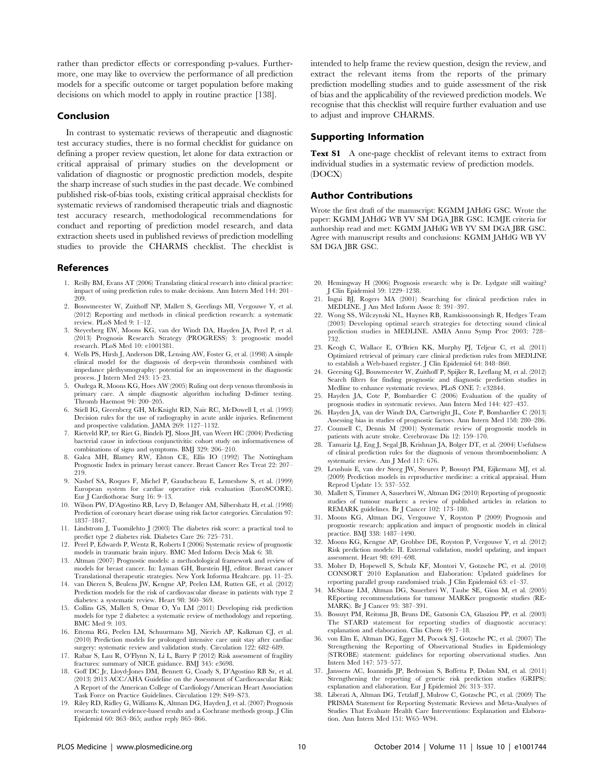rather than predictor effects or corresponding p-values. Furthermore, one may like to overview the performance of all prediction models for a specific outcome or target population before making decisions on which model to apply in routine practice [138].

#### Conclusion

In contrast to systematic reviews of therapeutic and diagnostic test accuracy studies, there is no formal checklist for guidance on defining a proper review question, let alone for data extraction or critical appraisal of primary studies on the development or validation of diagnostic or prognostic prediction models, despite the sharp increase of such studies in the past decade. We combined published risk-of-bias tools, existing critical appraisal checklists for systematic reviews of randomised therapeutic trials and diagnostic test accuracy research, methodological recommendations for conduct and reporting of prediction model research, and data extraction sheets used in published reviews of prediction modelling studies to provide the CHARMS checklist. The checklist is

#### References

- 1. Reilly BM, Evans AT (2006) Translating clinical research into clinical practice: impact of using prediction rules to make decisions. Ann Intern Med 144: 201– 209.
- 2. Bouwmeester W, Zuithoff NP, Mallett S, Geerlings MI, Vergouwe Y, et al. (2012) Reporting and methods in clinical prediction research: a systematic review. PLoS Med 9: 1–12.
- 3. Steyerberg EW, Moons KG, van der Windt DA, Hayden JA, Perel P, et al. (2013) Prognosis Research Strategy (PROGRESS) 3: prognostic model research. PLoS Med 10: e1001381.
- 4. Wells PS, Hirsh J, Anderson DR, Lensing AW, Foster G, et al. (1998) A simple clinical model for the diagnosis of deep-vein thrombosis combined with impedance plethysmography: potential for an improvement in the diagnostic process. J Intern Med 243: 15–23.
- 5. Oudega R, Moons KG, Hoes AW (2005) Ruling out deep venous thrombosis in primary care. A simple diagnostic algorithm including D-dimer testing. Thromb Haemost 94: 200–205.
- 6. Stiell IG, Greenberg GH, McKnight RD, Nair RC, McDowell I, et al. (1993) Decision rules for the use of radiography in acute ankle injuries. Refinement and prospective validation. JAMA 269: 1127–1132.
- 7. Rietveld RP, ter Riet G, Bindels PJ, Sloos JH, van Weert HC (2004) Predicting bacterial cause in infectious conjunctivitis: cohort study on informativeness of combinations of signs and symptoms. BMJ 329: 206–210.
- 8. Galea MH, Blamey RW, Elston CE, Ellis IO (1992) The Nottingham Prognostic Index in primary breast cancer. Breast Cancer Res Treat 22: 207– 219.
- 9. Nashef SA, Roques F, Michel P, Gauducheau E, Lemeshow S, et al. (1999) European system for cardiac operative risk evaluation (EuroSCORE). Eur J Cardiothorac Surg 16: 9–13.
- 10. Wilson PW, D'Agostino RB, Levy D, Belanger AM, Silbershatz H, et al. (1998) Prediction of coronary heart disease using risk factor categories. Circulation 97: 1837–1847.
- 11. Lindstrom J, Tuomilehto J (2003) The diabetes risk score: a practical tool to predict type 2 diabetes risk. Diabetes Care 26: 725–731.
- 12. Perel P, Edwards P, Wentz R, Roberts I (2006) Systematic review of prognostic models in traumatic brain injury. BMC Med Inform Decis Mak 6: 38.
- 13. Altman (2007) Prognostic models: a methodological framework and review of models for breast cancer. In: Lyman GH, Burstein HJ, editor. Breast cancer Translational therapeutic strategies. New York Informa Healtcare. pp. 11–25.
- 14. van Dieren S, Beulens JW, Kengne AP, Peelen LM, Rutten GE, et al. (2012) Prediction models for the risk of cardiovascular disease in patients with type 2 diabetes: a systematic review. Heart 98: 360–369.
- 15. Collins GS, Mallett S, Omar O, Yu LM (2011) Developing risk prediction models for type 2 diabetes: a systematic review of methodology and reporting. BMC Med 9: 103.
- 16. Ettema RG, Peelen LM, Schuurmans MJ, Nierich AP, Kalkman CJ, et al. (2010) Prediction models for prolonged intensive care unit stay after cardiac surgery: systematic review and validation study. Circulation 122: 682–689.
- 17. Rabar S, Lau R, O'Flynn N, Li L, Barry P (2012) Risk assessment of fragility fractures: summary of NICE guidance. BMJ 345: e3698.
- 18. Goff DC Jr, Lloyd-Jones DM, Bennett G, Coady S, D'Agostino RB Sr, et al. (2013) 2013 ACC/AHA Guideline on the Assessment of Cardiovascular Risk: A Report of the American College of Cardiology/American Heart Association Task Force on Practice Guidelines. Circulation 129: S49–S73.
- 19. Riley RD, Ridley G, Williams K, Altman DG, Hayden J, et al. (2007) Prognosis research: toward evidence-based results and a Cochrane methods group. J Clin Epidemiol 60: 863–865; author reply 865–866.

intended to help frame the review question, design the review, and extract the relevant items from the reports of the primary prediction modelling studies and to guide assessment of the risk of bias and the applicability of the reviewed prediction models. We recognise that this checklist will require further evaluation and use to adjust and improve CHARMS.

## Supporting Information

Text S1 A one-page checklist of relevant items to extract from individual studies in a systematic review of prediction models. (DOCX)

## Author Contributions

Wrote the first draft of the manuscript: KGMM JAHdG GSC. Wrote the paper: KGMM JAHdG WB YV SM DGA JBR GSC. [ICMJE](http://www.icmje.org/) criteria for authorship read and met: KGMM JAHdG WB YV SM DGA JBR GSC. Agree with manuscript results and conclusions: KGMM JAHdG WB YV SM DGA JBR GSC.

- 20. Hemingway H (2006) Prognosis research: why is Dr. Lydgate still waiting? J Clin Epidemiol 59: 1229–1238.
- 21. Ingui BJ, Rogers MA (2001) Searching for clinical prediction rules in MEDLINE. J Am Med Inform Assoc 8: 391–397.
- 22. Wong SS, Wilczynski NL, Haynes RB, Ramkissoonsingh R, Hedges Team (2003) Developing optimal search strategies for detecting sound clinical prediction studies in MEDLINE. AMIA Annu Symp Proc 2003: 728– 732.
- 23. Keogh C, Wallace E, O'Brien KK, Murphy PJ, Teljeur C, et al. (2011) Optimized retrieval of primary care clinical prediction rules from MEDLINE to establish a Web-based register. J Clin Epidemiol 64: 848–860.
- 24. Geersing GJ, Bouwmeester W, Zuithoff P, Spijker R, Leeflang M, et al. (2012) Search filters for finding prognostic and diagnostic prediction studies in Medline to enhance systematic reviews. PLoS ONE 7: e32844.
- 25. Hayden JA, Cote P, Bombardier C (2006) Evaluation of the quality of prognosis studies in systematic reviews. Ann Intern Med 144: 427–437.
- 26. Hayden JA, van der Windt DA, Cartwright JL, Cote P, Bombardier C (2013) Assessing bias in studies of prognostic factors. Ann Intern Med 158: 280–286.
- 27. Counsell C, Dennis M (2001) Systematic review of prognostic models in patients with acute stroke. Cerebrovasc Dis 12: 159–170.
- 28. Tamariz LJ, Eng J, Segal JB, Krishnan JA, Bolger DT, et al. (2004) Usefulness of clinical prediction rules for the diagnosis of venous thromboembolism: A systematic review. Am J Med 117: 676.
- 29. Leushuis E, van der Steeg JW, Steures P, Bossuyt PM, Eijkemans MJ, et al. (2009) Prediction models in reproductive medicine: a critical appraisal. Hum Reprod Update 15: 537–552.
- 30. Mallett S, Timmer A, Sauerbrei W, Altman DG (2010) Reporting of prognostic studies of tumour markers: a review of published articles in relation to REMARK guidelines. Br J Cancer 102: 173–180.
- 31. Moons KG, Altman DG, Vergouwe Y, Royston P (2009) Prognosis and prognostic research: application and impact of prognostic models in clinical practice. BMJ 338: 1487–1490.
- 32. Moons KG, Kengne AP, Grobbee DE, Royston P, Vergouwe Y, et al. (2012) Risk prediction models: II. External validation, model updating, and impact assessment. Heart 98: 691–698.
- 33. Moher D, Hopewell S, Schulz KF, Montori V, Gotzsche PC, et al. (2010) CONSORT 2010 Explanation and Elaboration: Updated guidelines for reporting parallel group randomised trials. J Clin Epidemiol 63: e1–37.
- 34. McShane LM, Altman DG, Sauerbrei W, Taube SE, Gion M, et al. (2005) REporting recommendations for tumour MARKer prognostic studies (RE-MARK). Br J Cancer 93: 387–391.
- 35. Bossuyt PM, Reitsma JB, Bruns DE, Gatsonis CA, Glasziou PP, et al. (2003) The STARD statement for reporting studies of diagnostic accuracy: explanation and elaboration. Clin Chem 49: 7–18.
- 36. von Elm E, Altman DG, Egger M, Pocock SJ, Gotzsche PC, et al. (2007) The Strengthening the Reporting of Observational Studies in Epidemiology (STROBE) statement: guidelines for reporting observational studies. Ann Intern Med 147: 573–577.
- 37. Janssens AC, Ioannidis JP, Bedrosian S, Boffetta P, Dolan SM, et al. (2011) Strengthening the reporting of genetic risk prediction studies (GRIPS): explanation and elaboration. Eur J Epidemiol 26: 313–337.
- 38. Liberati A, Altman DG, Tetzlaff J, Mulrow C, Gotzsche PC, et al. (2009) The PRISMA Statement for Reporting Systematic Reviews and Meta-Analyses of Studies That Evaluate Health Care Interventions: Explanation and Elaboration. Ann Intern Med 151: W65–W94.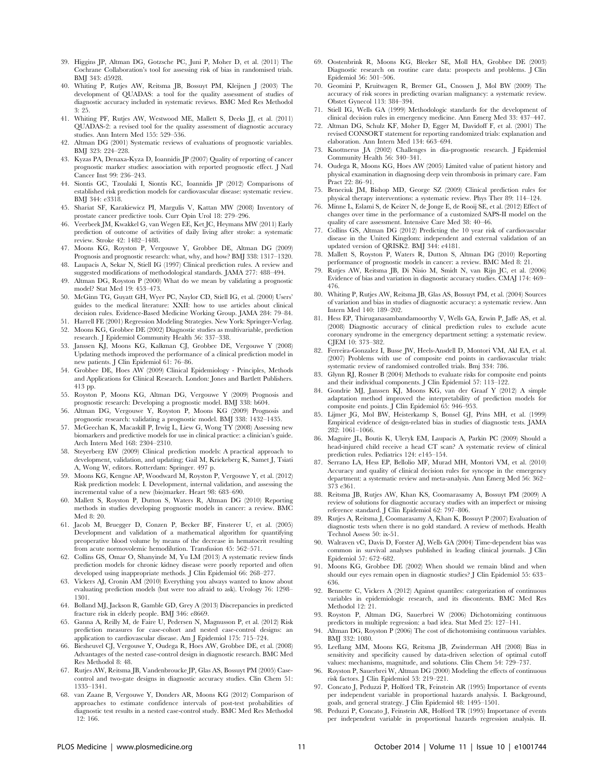- 39. Higgins JP, Altman DG, Gotzsche PC, Juni P, Moher D, et al. (2011) The Cochrane Collaboration's tool for assessing risk of bias in randomised trials. BMJ 343: d5928.
- 40. Whiting P, Rutjes AW, Reitsma JB, Bossuyt PM, Kleijnen J (2003) The development of QUADAS: a tool for the quality assessment of studies of diagnostic accuracy included in systematic reviews. BMC Med Res Methodol 3: 25.
- 41. Whiting PF, Rutjes AW, Westwood ME, Mallett S, Deeks JJ, et al. (2011) QUADAS-2: a revised tool for the quality assessment of diagnostic accuracy studies. Ann Intern Med 155: 529–536.
- 42. Altman DG (2001) Systematic reviews of evaluations of prognostic variables. BMJ 323: 224–228.
- 43. Kyzas PA, Denaxa-Kyza D, Ioannidis JP (2007) Quality of reporting of cancer prognostic marker studies: association with reported prognostic effect. J Natl Cancer Inst 99: 236–243.
- 44. Siontis GC, Tzoulaki I, Siontis KC, Ioannidis JP (2012) Comparisons of established risk prediction models for cardiovascular disease: systematic review. BMJ 344: e3318.
- 45. Shariat SF, Karakiewicz PI, Margulis V, Kattan MW (2008) Inventory of prostate cancer predictive tools. Curr Opin Urol 18: 279–296.
- 46. Veerbeek JM, Kwakkel G, van Wegen EE, Ket JC, Heymans MW (2011) Early prediction of outcome of activities of daily living after stroke: a systematic review. Stroke 42: 1482–1488.
- 47. Moons KG, Royston P, Vergouwe Y, Grobbee DE, Altman DG (2009) Prognosis and prognostic research: what, why, and how? BMJ 338: 1317–1320.
- 48. Laupacis A, Sekar N, Stiell IG (1997) Clinical prediction rules. A review and suggested modifications of methodological standards. JAMA 277: 488–494.
- 49. Altman DG, Royston P (2000) What do we mean by validating a prognostic model? Stat Med 19: 453–473.
- 50. McGinn TG, Guyatt GH, Wyer PC, Naylor CD, Stiell IG, et al. (2000) Users' guides to the medical literature: XXII: how to use articles about clinical decision rules. Evidence-Based Medicine Working Group. JAMA 284: 79–84.
- 51. Harrell FE (2001) Regression Modeling Strategies. New York: Springer-Verlag. 52. Moons KG, Grobbee DE (2002) Diagnostic studies as multivariable, prediction
- research. J Epidemiol Community Health 56: 337–338. 53. Janssen KJ, Moons KG, Kalkman CJ, Grobbee DE, Vergouwe Y (2008)
- Updating methods improved the performance of a clinical prediction model in new patients. J Clin Epidemiol 61: 76–86.
- 54. Grobbee DE, Hoes AW (2009) Clinical Epidemiology Principles, Methods and Applications for Clinical Research. London: Jones and Bartlett Publishers. 413 pp.
- 55. Royston P, Moons KG, Altman DG, Vergouwe Y (2009) Prognosis and prognostic research: Developing a prognostic model. BMJ 338: b604.
- 56. Altman DG, Vergouwe Y, Royston P, Moons KG (2009) Prognosis and prognostic research: validating a prognostic model. BMJ 338: 1432–1435.
- 57. McGeechan K, Macaskill P, Irwig L, Liew G, Wong TY (2008) Assessing new biomarkers and predictive models for use in clinical practice: a clinician's guide. Arch Intern Med 168: 2304–2310.
- 58. Steyerberg EW (2009) Clinical prediction models: A practical approach to development, validation, and updating; Gail M, Krickeberg K, Samet J, Tsiati A, Wong W, editors. Rotterdam: Springer. 497 p.
- 59. Moons KG, Kengne AP, Woodward M, Royston P, Vergouwe Y, et al. (2012) Risk prediction models: I. Development, internal validation, and assessing the incremental value of a new (bio)marker. Heart 98: 683–690.
- 60. Mallett S, Royston P, Dutton S, Waters R, Altman DG (2010) Reporting methods in studies developing prognostic models in cancer: a review. BMC Med 8: 20.
- 61. Jacob M, Bruegger D, Conzen P, Becker BF, Finsterer U, et al. (2005) Development and validation of a mathematical algorithm for quantifying preoperative blood volume by means of the decrease in hematocrit resulting from acute normovolemic hemodilution. Transfusion 45: 562–571.
- 62. Collins GS, Omar O, Shanyinde M, Yu LM (2013) A systematic review finds prediction models for chronic kidney disease were poorly reported and often developed using inappropriate methods. J Clin Epidemiol 66: 268–277.
- 63. Vickers AJ, Cronin AM (2010) Everything you always wanted to know about evaluating prediction models (but were too afraid to ask). Urology 76: 1298– 1301.
- 64. Bolland MJ, Jackson R, Gamble GD, Grey A (2013) Discrepancies in predicted fracture risk in elderly people. BMJ 346: e8669.
- 65. Ganna A, Reilly M, de Faire U, Pedersen N, Magnusson P, et al. (2012) Risk prediction measures for case-cohort and nested case-control designs: an application to cardiovascular disease. Am J Epidemiol 175: 715–724.
- 66. Biesheuvel CJ, Vergouwe Y, Oudega R, Hoes AW, Grobbee DE, et al. (2008) Advantages of the nested case-control design in diagnostic research. BMC Med Res Methodol 8: 48.
- 67. Rutjes AW, Reitsma JB, Vandenbroucke JP, Glas AS, Bossuyt PM (2005) Casecontrol and two-gate designs in diagnostic accuracy studies. Clin Chem 51: 1335–1341.
- 68. van Zaane B, Vergouwe Y, Donders AR, Moons KG (2012) Comparison of approaches to estimate confidence intervals of post-test probabilities of diagnostic test results in a nested case-control study. BMC Med Res Methodol 12: 166.
- 69. Oostenbrink R, Moons KG, Bleeker SE, Moll HA, Grobbee DE (2003) Diagnostic research on routine care data: prospects and problems. J Clin Epidemiol 56: 501–506.
- 70. Geomini P, Kruitwagen R, Bremer GL, Cnossen J, Mol BW (2009) The accuracy of risk scores in predicting ovarian malignancy: a systematic review. Obstet Gynecol 113: 384–394.
- 71. Stiell IG, Wells GA (1999) Methodologic standards for the development of clinical decision rules in emergency medicine. Ann Emerg Med 33: 437–447.
- 72. Altman DG, Schulz KF, Moher D, Egger M, Davidoff F, et al. (2001) The revised CONSORT statement for reporting randomized trials: explanation and elaboration. Ann Intern Med 134: 663–694.
- 73. Knottnerus JA (2002) Challenges in dia-prognostic research. J Epidemiol Community Health 56: 340–341.
- 74. Oudega R, Moons KG, Hoes AW (2005) Limited value of patient history and physical examination in diagnosing deep vein thrombosis in primary care. Fam Pract 22: 86–91.
- 75. Beneciuk JM, Bishop MD, George SZ (2009) Clinical prediction rules for physical therapy interventions: a systematic review. Phys Ther 89: 114–124.
- 76. Minne L, Eslami S, de Keizer N, de Jonge E, de Rooij SE, et al. (2012) Effect of changes over time in the performance of a customized SAPS-II model on the quality of care assessment. Intensive Care Med 38: 40–46.
- 77. Collins GS, Altman DG (2012) Predicting the 10 year risk of cardiovascular disease in the United Kingdom: independent and external validation of an updated version of QRISK2. BMJ 344: e4181.
- 78. Mallett S, Royston P, Waters R, Dutton S, Altman DG (2010) Reporting performance of prognostic models in cancer: a review. BMC Med 8: 21.
- 79. Rutjes AW, Reitsma JB, Di Nisio M, Smidt N, van Rijn JC, et al. (2006) Evidence of bias and variation in diagnostic accuracy studies. CMAJ 174: 469– 476.
- 80. Whiting P, Rutjes AW, Reitsma JB, Glas AS, Bossuyt PM, et al. (2004) Sources of variation and bias in studies of diagnostic accuracy: a systematic review. Ann Intern Med 140: 189–202.
- 81. Hess EP, Thiruganasambandamoorthy V, Wells GA, Erwin P, Jaffe AS, et al. (2008) Diagnostic accuracy of clinical prediction rules to exclude acute coronary syndrome in the emergency department setting: a systematic review. CJEM 10: 373–382.
- 82. Ferreira-Gonzalez I, Busse JW, Heels-Ansdell D, Montori VM, Akl EA, et al. (2007) Problems with use of composite end points in cardiovascular trials: systematic review of randomised controlled trials. Bmj 334: 786.
- 83. Glynn RJ, Rosner B (2004) Methods to evaluate risks for composite end points and their individual components. J Clin Epidemiol 57: 113–122.
- 84. Gondrie MJ, Janssen KJ, Moons KG, van der Graaf Y (2012) A simple adaptation method improved the interpretability of prediction models for composite end points. J Clin Epidemiol 65: 946–953.
- 85. Lijmer JG, Mol BW, Heisterkamp S, Bonsel GJ, Prins MH, et al. (1999) Empirical evidence of design-related bias in studies of diagnostic tests. JAMA 282: 1061–1066.
- 86. Maguire JL, Boutis K, Uleryk EM, Laupacis A, Parkin PC (2009) Should a head-injured child receive a head CT scan? A systematic review of clinical prediction rules. Pediatrics 124: e145–154.
- 87. Serrano LA, Hess EP, Bellolio MF, Murad MH, Montori VM, et al. (2010) Accuracy and quality of clinical decision rules for syncope in the emergency department: a systematic review and meta-analysis. Ann Emerg Med 56: 362– 373 e361.
- 88. Reitsma JB, Rutjes AW, Khan KS, Coomarasamy A, Bossuyt PM (2009) A review of solutions for diagnostic accuracy studies with an imperfect or missing reference standard. J Clin Epidemiol 62: 797–806.
- 89. Rutjes A, Reitsma J, Coomarasamy A, Khan K, Bossuyt P (2007) Evaluation of diagnostic tests when there is no gold standard. A review of methods. Health Technol Assess 50: ix-51.
- 90. Walraven vC, Davis D, Forster AJ, Wells GA (2004) Time-dependent bias was common in survival analyses published in leading clinical journals. J Clin Epidemiol 57: 672–682.
- 91. Moons KG, Grobbee DE (2002) When should we remain blind and when should our eyes remain open in diagnostic studies? J Clin Epidemiol 55: 633– 636.
- 92. Bennette C, Vickers A (2012) Against quantiles: categorization of continuous variables in epidemiologic research, and its discontents. BMC Med Res Methodol 12: 21.
- 93. Royston P, Altman DG, Sauerbrei W (2006) Dichotomizing continuous predictors in multiple regression: a bad idea. Stat Med 25: 127–141.
- 94. Altman DG, Royston P (2006) The cost of dichotomising continuous variables. BMJ 332: 1080.
- 95. Leeflang MM, Moons KG, Reitsma JB, Zwinderman AH (2008) Bias in sensitivity and specificity caused by data-driven selection of optimal cutoff values: mechanisms, magnitude, and solutions. Clin Chem 54: 729–737.
- 96. Royston P, Sauerbrei W, Altman DG (2000) Modeling the effects of continuous risk factors. J Clin Epidemiol 53: 219–221.
- 97. Concato J, Peduzzi P, Holford TR, Feinstein AR (1995) Importance of events per independent variable in proportional hazards analysis. I. Background, goals, and general strategy. J Clin Epidemiol 48: 1495–1501.
- 98. Peduzzi P, Concato J, Feinstein AR, Holford TR (1995) Importance of events per independent variable in proportional hazards regression analysis. II.